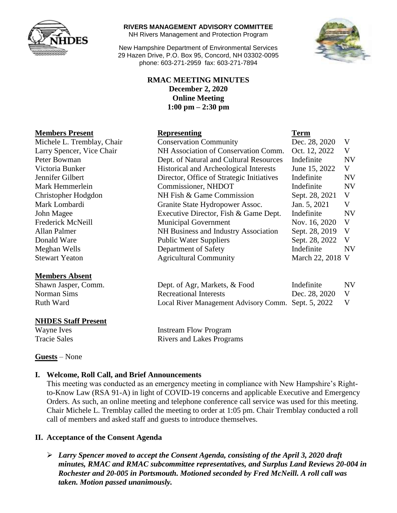

#### **RIVERS MANAGEMENT ADVISORY COMMITTEE**

NH Rivers Management and Protection Program

New Hampshire Department of Environmental Services 29 Hazen Drive, P.O. Box 95, Concord, NH 03302-0095 phone: 603-271-2959 fax: 603-271-7894



## **RMAC MEETING MINUTES December 2, 2020 Online Meeting 1:00 pm – 2:30 pm**

| <b>Members Present</b>     | <b>Representing</b>                       | <b>Term</b>      |           |
|----------------------------|-------------------------------------------|------------------|-----------|
| Michele L. Tremblay, Chair | <b>Conservation Community</b>             | Dec. 28, 2020    | V         |
| Larry Spencer, Vice Chair  | NH Association of Conservation Comm.      | Oct. 12, 2022    | V         |
| Peter Bowman               | Dept. of Natural and Cultural Resources   | Indefinite       | <b>NV</b> |
| Victoria Bunker            | Historical and Archeological Interests    | June 15, 2022    | V         |
| Jennifer Gilbert           | Director, Office of Strategic Initiatives | Indefinite       | <b>NV</b> |
| Mark Hemmerlein            | Commissioner, NHDOT                       | Indefinite       | <b>NV</b> |
| Christopher Hodgdon        | NH Fish & Game Commission                 | Sept. 28, 2021   | V         |
| Mark Lombardi              | Granite State Hydropower Assoc.           | Jan. 5, 2021     | V         |
| John Magee                 | Executive Director, Fish & Game Dept.     | Indefinite       | <b>NV</b> |
| Frederick McNeill          | <b>Municipal Government</b>               | Nov. 16, 2020    | V         |
| Allan Palmer               | NH Business and Industry Association      | Sept. 28, 2019   | V         |
| Donald Ware                | <b>Public Water Suppliers</b>             | Sept. 28, 2022   | V         |
| Meghan Wells               | Department of Safety                      | Indefinite       | NV        |
| <b>Stewart Yeaton</b>      | <b>Agricultural Community</b>             | March 22, 2018 V |           |

#### **Members Absent**

Shawn Jasper, Comm. Dept. of Agr, Markets, & Food Indefinite NV Norman Sims Recreational Interests Dec. 28, 2020 V Ruth Ward Local River Management Advisory Comm. Sept. 5, 2022 V

## **NHDES Staff Present**

Wayne Ives **Instream Flow Program** Tracie Sales Rivers and Lakes Programs

## **Guests** – None

## **I. Welcome, Roll Call, and Brief Announcements**

This meeting was conducted as an emergency meeting in compliance with New Hampshire's Rightto-Know Law (RSA 91-A) in light of COVID-19 concerns and applicable Executive and Emergency Orders. As such, an online meeting and telephone conference call service was used for this meeting. Chair Michele L. Tremblay called the meeting to order at 1:05 pm. Chair Tremblay conducted a roll call of members and asked staff and guests to introduce themselves.

## **II. Acceptance of the Consent Agenda**

 *Larry Spencer moved to accept the Consent Agenda, consisting of the April 3, 2020 draft minutes, RMAC and RMAC subcommittee representatives, and Surplus Land Reviews 20-004 in Rochester and 20-005 in Portsmouth. Motioned seconded by Fred McNeill. A roll call was taken. Motion passed unanimously.*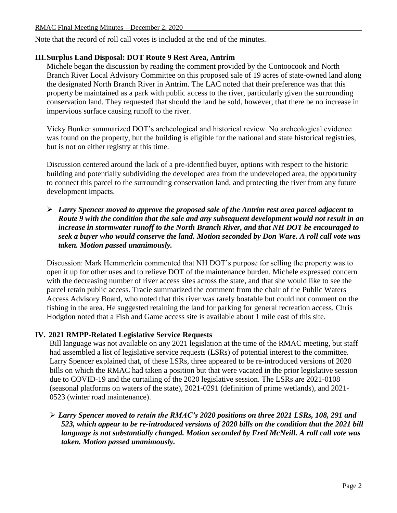Note that the record of roll call votes is included at the end of the minutes.

#### **III.Surplus Land Disposal: DOT Route 9 Rest Area, Antrim**

Michele began the discussion by reading the comment provided by the Contoocook and North Branch River Local Advisory Committee on this proposed sale of 19 acres of state-owned land along the designated North Branch River in Antrim. The LAC noted that their preference was that this property be maintained as a park with public access to the river, particularly given the surrounding conservation land. They requested that should the land be sold, however, that there be no increase in impervious surface causing runoff to the river.

Vicky Bunker summarized DOT's archeological and historical review. No archeological evidence was found on the property, but the building is eligible for the national and state historical registries, but is not on either registry at this time.

Discussion centered around the lack of a pre-identified buyer, options with respect to the historic building and potentially subdividing the developed area from the undeveloped area, the opportunity to connect this parcel to the surrounding conservation land, and protecting the river from any future development impacts.

 *Larry Spencer moved to approve the proposed sale of the Antrim rest area parcel adjacent to Route 9 with the condition that the sale and any subsequent development would not result in an increase in stormwater runoff to the North Branch River, and that NH DOT be encouraged to seek a buyer who would conserve the land. Motion seconded by Don Ware. A roll call vote was taken. Motion passed unanimously.*

Discussion: Mark Hemmerlein commented that NH DOT's purpose for selling the property was to open it up for other uses and to relieve DOT of the maintenance burden. Michele expressed concern with the decreasing number of river access sites across the state, and that she would like to see the parcel retain public access. Tracie summarized the comment from the chair of the Public Waters Access Advisory Board, who noted that this river was rarely boatable but could not comment on the fishing in the area. He suggested retaining the land for parking for general recreation access. Chris Hodgdon noted that a Fish and Game access site is available about 1 mile east of this site.

## **IV. 2021 RMPP-Related Legislative Service Requests**

Bill language was not available on any 2021 legislation at the time of the RMAC meeting, but staff had assembled a list of legislative service requests (LSRs) of potential interest to the committee. Larry Spencer explained that, of these LSRs, three appeared to be re-introduced versions of 2020 bills on which the RMAC had taken a position but that were vacated in the prior legislative session due to COVID-19 and the curtailing of the 2020 legislative session. The LSRs are 2021-0108 (seasonal platforms on waters of the state), 2021-0291 (definition of prime wetlands), and 2021- 0523 (winter road maintenance).

 *Larry Spencer moved to retain the RMAC's 2020 positions on three 2021 LSRs, 108, 291 and 523, which appear to be re-introduced versions of 2020 bills on the condition that the 2021 bill language is not substantially changed. Motion seconded by Fred McNeill. A roll call vote was taken. Motion passed unanimously.*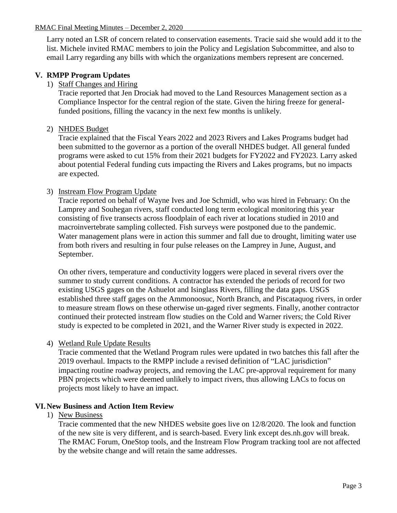Larry noted an LSR of concern related to conservation easements. Tracie said she would add it to the list. Michele invited RMAC members to join the Policy and Legislation Subcommittee, and also to email Larry regarding any bills with which the organizations members represent are concerned.

# **V. RMPP Program Updates**

1) Staff Changes and Hiring

Tracie reported that Jen Drociak had moved to the Land Resources Management section as a Compliance Inspector for the central region of the state. Given the hiring freeze for generalfunded positions, filling the vacancy in the next few months is unlikely.

## 2) NHDES Budget

Tracie explained that the Fiscal Years 2022 and 2023 Rivers and Lakes Programs budget had been submitted to the governor as a portion of the overall NHDES budget. All general funded programs were asked to cut 15% from their 2021 budgets for FY2022 and FY2023. Larry asked about potential Federal funding cuts impacting the Rivers and Lakes programs, but no impacts are expected.

## 3) Instream Flow Program Update

Tracie reported on behalf of Wayne Ives and Joe Schmidl, who was hired in February: On the Lamprey and Souhegan rivers, staff conducted long term ecological monitoring this year consisting of five transects across floodplain of each river at locations studied in 2010 and macroinvertebrate sampling collected. Fish surveys were postponed due to the pandemic. Water management plans were in action this summer and fall due to drought, limiting water use from both rivers and resulting in four pulse releases on the Lamprey in June, August, and September.

On other rivers, temperature and conductivity loggers were placed in several rivers over the summer to study current conditions. A contractor has extended the periods of record for two existing USGS gages on the Ashuelot and Isinglass Rivers, filling the data gaps. USGS established three staff gages on the Ammonoosuc, North Branch, and Piscataquog rivers, in order to measure stream flows on these otherwise un-gaged river segments. Finally, another contractor continued their protected instream flow studies on the Cold and Warner rivers; the Cold River study is expected to be completed in 2021, and the Warner River study is expected in 2022.

4) Wetland Rule Update Results

Tracie commented that the Wetland Program rules were updated in two batches this fall after the 2019 overhaul. Impacts to the RMPP include a revised definition of "LAC jurisdiction" impacting routine roadway projects, and removing the LAC pre-approval requirement for many PBN projects which were deemed unlikely to impact rivers, thus allowing LACs to focus on projects most likely to have an impact.

## **VI.New Business and Action Item Review**

1) New Business

Tracie commented that the new NHDES website goes live on 12/8/2020. The look and function of the new site is very different, and is search-based. Every link except des.nh.gov will break. The RMAC Forum, OneStop tools, and the Instream Flow Program tracking tool are not affected by the website change and will retain the same addresses.